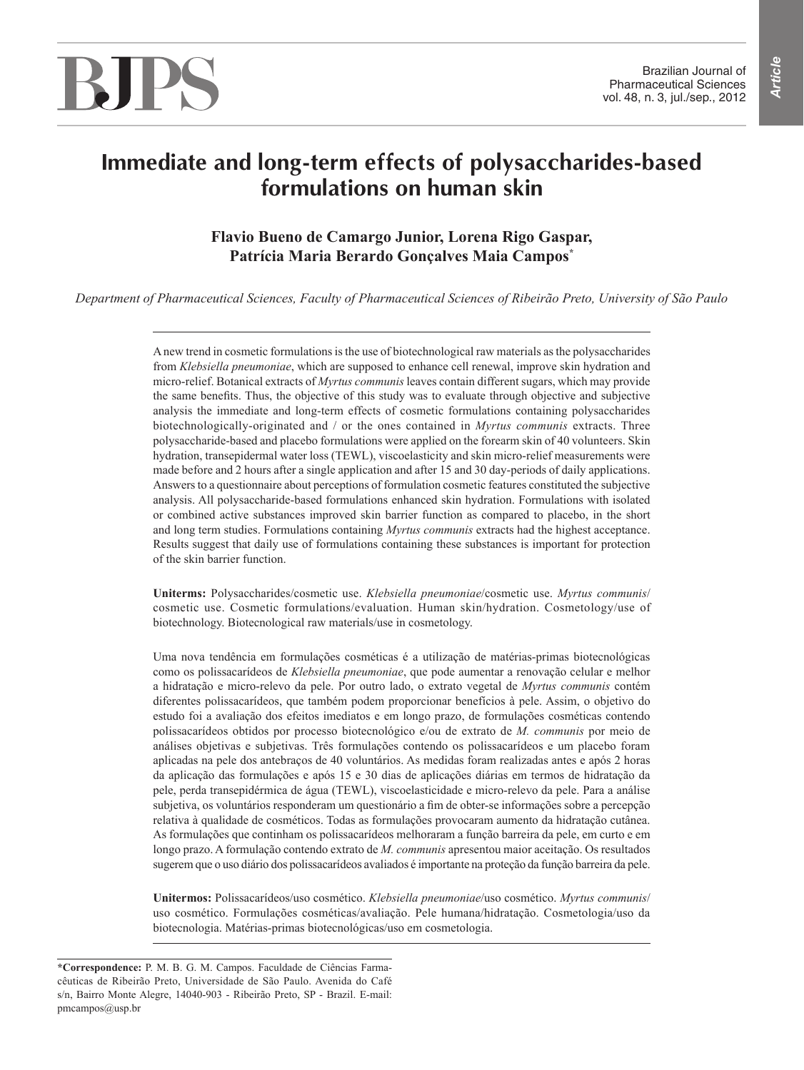# BIPS

# **Immediate and long-term effects of polysaccharides-based formulations on human skin**

# **Flavio Bueno de Camargo Junior, Lorena Rigo Gaspar, Patrícia Maria Berardo Gonçalves Maia Campos\***

*Department of Pharmaceutical Sciences, Faculty of Pharmaceutical Sciences of Ribeirão Preto, University of São Paulo*

A new trend in cosmetic formulations is the use of biotechnological raw materials as the polysaccharides from *Klebsiella pneumoniae*, which are supposed to enhance cell renewal, improve skin hydration and micro-relief. Botanical extracts of *Myrtus communis* leaves contain different sugars, which may provide the same benefits. Thus, the objective of this study was to evaluate through objective and subjective analysis the immediate and long-term effects of cosmetic formulations containing polysaccharides biotechnologically-originated and / or the ones contained in *Myrtus communis* extracts. Three polysaccharide-based and placebo formulations were applied on the forearm skin of 40 volunteers. Skin hydration, transepidermal water loss (TEWL), viscoelasticity and skin micro-relief measurements were made before and 2 hours after a single application and after 15 and 30 day-periods of daily applications. Answers to a questionnaire about perceptions of formulation cosmetic features constituted the subjective analysis. All polysaccharide-based formulations enhanced skin hydration. Formulations with isolated or combined active substances improved skin barrier function as compared to placebo, in the short and long term studies. Formulations containing *Myrtus communis* extracts had the highest acceptance. Results suggest that daily use of formulations containing these substances is important for protection of the skin barrier function.

**Uniterms:** Polysaccharides/cosmetic use. *Klebsiella pneumoniae*/cosmetic use. *Myrtus communis*/ cosmetic use. Cosmetic formulations/evaluation. Human skin/hydration. Cosmetology/use of biotechnology. Biotecnological raw materials/use in cosmetology.

Uma nova tendência em formulações cosméticas é a utilização de matérias-primas biotecnológicas como os polissacarídeos de *Klebsiella pneumoniae*, que pode aumentar a renovação celular e melhor a hidratação e micro-relevo da pele. Por outro lado, o extrato vegetal de *Myrtus communis* contém diferentes polissacarídeos, que também podem proporcionar benefícios à pele. Assim, o objetivo do estudo foi a avaliação dos efeitos imediatos e em longo prazo, de formulações cosméticas contendo polissacarídeos obtidos por processo biotecnológico e/ou de extrato de *M. communis* por meio de análises objetivas e subjetivas. Três formulações contendo os polissacarídeos e um placebo foram aplicadas na pele dos antebraços de 40 voluntários. As medidas foram realizadas antes e após 2 horas da aplicação das formulações e após 15 e 30 dias de aplicações diárias em termos de hidratação da pele, perda transepidérmica de água (TEWL), viscoelasticidade e micro-relevo da pele. Para a análise subjetiva, os voluntários responderam um questionário a fim de obter-se informações sobre a percepção relativa à qualidade de cosméticos. Todas as formulações provocaram aumento da hidratação cutânea. As formulações que continham os polissacarídeos melhoraram a função barreira da pele, em curto e em longo prazo. A formulação contendo extrato de *M. communis* apresentou maior aceitação. Os resultados sugerem que o uso diário dos polissacarídeos avaliados é importante na proteção da função barreira da pele.

**Unitermos:** Polissacarídeos/uso cosmético. *Klebsiella pneumoniae*/uso cosmético. *Myrtus communis*/ uso cosmético. Formulações cosméticas/avaliação. Pele humana/hidratação. Cosmetologia/uso da biotecnologia. Matérias-primas biotecnológicas/uso em cosmetologia.

**<sup>\*</sup>Correspondence:** P. M. B. G. M. Campos. Faculdade de Ciências Farmacêuticas de Ribeirão Preto, Universidade de São Paulo. Avenida do Café s/n, Bairro Monte Alegre, 14040-903 - Ribeirão Preto, SP - Brazil. E-mail: pmcampos@usp.br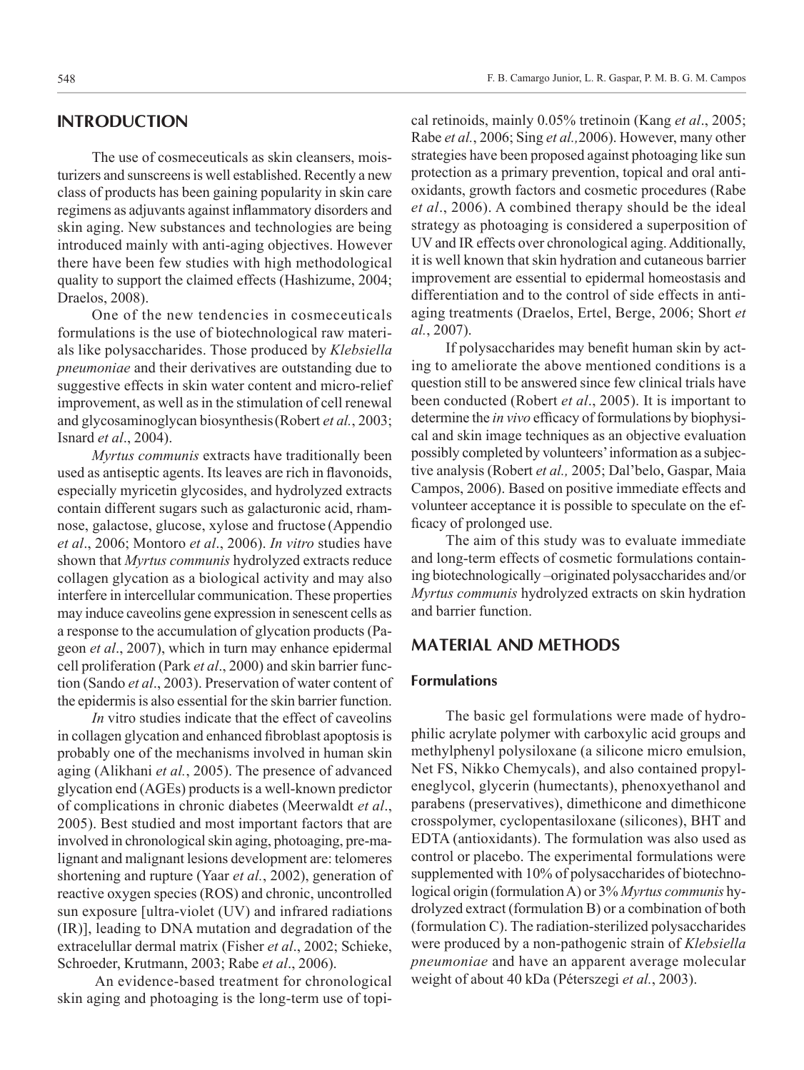# **INTRODUCTION**

The use of cosmeceuticals as skin cleansers, moisturizers and sunscreens is well established. Recently a new class of products has been gaining popularity in skin care regimens as adjuvants against inflammatory disorders and skin aging. New substances and technologies are being introduced mainly with anti-aging objectives. However there have been few studies with high methodological quality to support the claimed effects (Hashizume, 2004; Draelos, 2008).

One of the new tendencies in cosmeceuticals formulations is the use of biotechnological raw materials like polysaccharides. Those produced by *Klebsiella pneumoniae* and their derivatives are outstanding due to suggestive effects in skin water content and micro-relief improvement, as well as in the stimulation of cell renewal and glycosaminoglycan biosynthesis(Robert *et al.*, 2003; Isnard *et al*., 2004).

*Myrtus communis* extracts have traditionally been used as antiseptic agents. Its leaves are rich in flavonoids, especially myricetin glycosides, and hydrolyzed extracts contain different sugars such as galacturonic acid, rhamnose, galactose, glucose, xylose and fructose (Appendio *et al*., 2006; Montoro *et al*., 2006). *In vitro* studies have shown that *Myrtus communis* hydrolyzed extracts reduce collagen glycation as a biological activity and may also interfere in intercellular communication. These properties may induce caveolins gene expression in senescent cells as a response to the accumulation of glycation products (Pageon *et al*., 2007), which in turn may enhance epidermal cell proliferation (Park *et al*., 2000) and skin barrier function (Sando *et al*., 2003). Preservation of water content of the epidermis is also essential for the skin barrier function.

*In* vitro studies indicate that the effect of caveolins in collagen glycation and enhanced fibroblast apoptosis is probably one of the mechanisms involved in human skin aging (Alikhani *et al.*, 2005). The presence of advanced glycation end (AGEs) products is a well-known predictor of complications in chronic diabetes (Meerwaldt *et al*., 2005). Best studied and most important factors that are involved in chronological skin aging, photoaging, pre-malignant and malignant lesions development are: telomeres shortening and rupture (Yaar *et al.*, 2002), generation of reactive oxygen species (ROS) and chronic, uncontrolled sun exposure [ultra-violet (UV) and infrared radiations (IR)], leading to DNA mutation and degradation of the extracelullar dermal matrix (Fisher *et al*., 2002; Schieke, Schroeder, Krutmann, 2003; Rabe *et al*., 2006).

 An evidence-based treatment for chronological skin aging and photoaging is the long-term use of topical retinoids, mainly 0.05% tretinoin (Kang *et al*., 2005; Rabe *et al.*, 2006; Sing *et al.,*2006). However, many other strategies have been proposed against photoaging like sun protection as a primary prevention, topical and oral antioxidants, growth factors and cosmetic procedures (Rabe *et al*., 2006). A combined therapy should be the ideal strategy as photoaging is considered a superposition of UV and IR effects over chronological aging. Additionally, it is well known that skin hydration and cutaneous barrier improvement are essential to epidermal homeostasis and differentiation and to the control of side effects in antiaging treatments (Draelos, Ertel, Berge, 2006; Short *et al.*, 2007).

If polysaccharides may benefit human skin by acting to ameliorate the above mentioned conditions is a question still to be answered since few clinical trials have been conducted (Robert *et al*., 2005). It is important to determine the *in vivo* efficacy of formulations by biophysical and skin image techniques as an objective evaluation possibly completed by volunteers' information as a subjective analysis (Robert *et al.,* 2005; Dal'belo, Gaspar, Maia Campos, 2006). Based on positive immediate effects and volunteer acceptance it is possible to speculate on the efficacy of prolonged use.

The aim of this study was to evaluate immediate and long-term effects of cosmetic formulations containing biotechnologically –originated polysaccharides and/or *Myrtus communis* hydrolyzed extracts on skin hydration and barrier function.

# **MATERIAL AND METHODS**

#### **Formulations**

The basic gel formulations were made of hydrophilic acrylate polymer with carboxylic acid groups and methylphenyl polysiloxane (a silicone micro emulsion, Net FS, Nikko Chemycals), and also contained propyleneglycol, glycerin (humectants), phenoxyethanol and parabens (preservatives), dimethicone and dimethicone crosspolymer, cyclopentasiloxane (silicones), BHT and EDTA (antioxidants). The formulation was also used as control or placebo. The experimental formulations were supplemented with 10% of polysaccharides of biotechnological origin (formulation A) or 3% *Myrtus communis* hydrolyzed extract (formulation B) or a combination of both (formulation C). The radiation-sterilized polysaccharides were produced by a non-pathogenic strain of *Klebsiella pneumoniae* and have an apparent average molecular weight of about 40 kDa (Péterszegi *et al.*, 2003).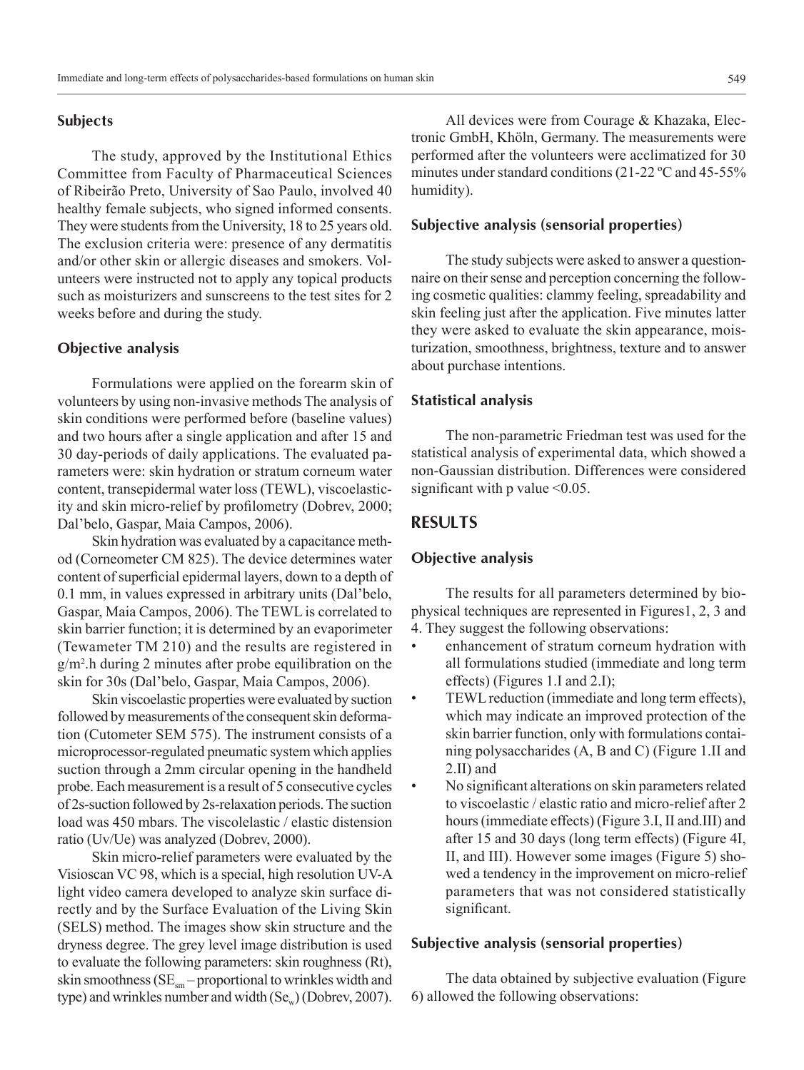#### **Subjects**

The study, approved by the Institutional Ethics Committee from Faculty of Pharmaceutical Sciences of Ribeirão Preto, University of Sao Paulo, involved 40 healthy female subjects, who signed informed consents. They were students from the University, 18 to 25 years old. The exclusion criteria were: presence of any dermatitis and/or other skin or allergic diseases and smokers. Volunteers were instructed not to apply any topical products such as moisturizers and sunscreens to the test sites for 2 weeks before and during the study.

#### **Objective analysis**

Formulations were applied on the forearm skin of volunteers by using non-invasive methods The analysis of skin conditions were performed before (baseline values) and two hours after a single application and after 15 and 30 day-periods of daily applications. The evaluated parameters were: skin hydration or stratum corneum water content, transepidermal water loss (TEWL), viscoelasticity and skin micro-relief by profilometry (Dobrev, 2000; Dal'belo, Gaspar, Maia Campos, 2006).

Skin hydration was evaluated by a capacitance method (Corneometer CM 825). The device determines water content of superficial epidermal layers, down to a depth of 0.1 mm, in values expressed in arbitrary units (Dal'belo, Gaspar, Maia Campos, 2006). The TEWL is correlated to skin barrier function; it is determined by an evaporimeter (Tewameter TM 210) and the results are registered in g/m2 .h during 2 minutes after probe equilibration on the skin for 30s (Dal'belo, Gaspar, Maia Campos, 2006).

Skin viscoelastic properties were evaluated by suction followed by measurements of the consequent skin deformation (Cutometer SEM 575). The instrument consists of a microprocessor-regulated pneumatic system which applies suction through a 2mm circular opening in the handheld probe. Each measurement is a result of 5 consecutive cycles of 2s-suction followed by 2s-relaxation periods. The suction load was 450 mbars. The viscolelastic / elastic distension ratio (Uv/Ue) was analyzed (Dobrev, 2000).

Skin micro-relief parameters were evaluated by the Visioscan VC 98, which is a special, high resolution UV-A light video camera developed to analyze skin surface directly and by the Surface Evaluation of the Living Skin (SELS) method. The images show skin structure and the dryness degree. The grey level image distribution is used to evaluate the following parameters: skin roughness (Rt), skin smoothness ( $SE<sub>sm</sub>$  – proportional to wrinkles width and type) and wrinkles number and width  $(Se<sub>w</sub>)$  (Dobrev, 2007).

All devices were from Courage & Khazaka, Electronic GmbH, Khöln, Germany. The measurements were performed after the volunteers were acclimatized for 30 minutes under standard conditions (21-22 ºC and 45-55% humidity).

#### **Subjective analysis (sensorial properties)**

The study subjects were asked to answer a questionnaire on their sense and perception concerning the following cosmetic qualities: clammy feeling, spreadability and skin feeling just after the application. Five minutes latter they were asked to evaluate the skin appearance, moisturization, smoothness, brightness, texture and to answer about purchase intentions.

#### **Statistical analysis**

The non-parametric Friedman test was used for the statistical analysis of experimental data, which showed a non-Gaussian distribution. Differences were considered significant with p value  $\leq 0.05$ .

# **RESULTS**

# **Objective analysis**

The results for all parameters determined by biophysical techniques are represented in Figures1, 2, 3 and 4. They suggest the following observations:

- enhancement of stratum corneum hydration with all formulations studied (immediate and long term effects) (Figures 1.I and 2.I);
- TEWL reduction (immediate and long term effects), which may indicate an improved protection of the skin barrier function, only with formulations containing polysaccharides (A, B and C) (Figure 1.II and 2.II) and
- No significant alterations on skin parameters related to viscoelastic / elastic ratio and micro-relief after 2 hours (immediate effects) (Figure 3.I, II and.III) and after 15 and 30 days (long term effects) (Figure 4I, II, and III). However some images (Figure 5) showed a tendency in the improvement on micro-relief parameters that was not considered statistically significant.

#### **Subjective analysis (sensorial properties)**

The data obtained by subjective evaluation (Figure 6) allowed the following observations: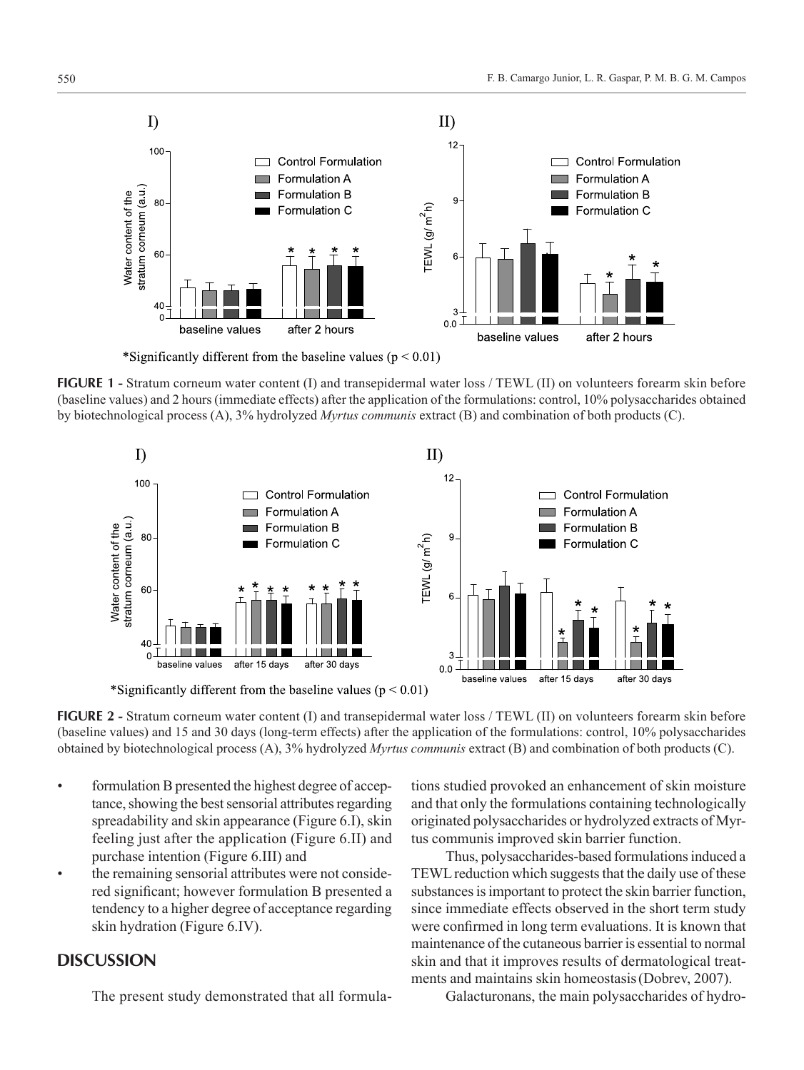

\*Significantly different from the baseline values ( $p < 0.01$ )

**FIGURE 1** - Stratum corneum water content (I) and transepidermal water loss / TEWL (II) on volunteers forearm skin before (baseline values) and 2 hours (immediate effects) after the application of the formulations: control, 10% polysaccharides obtained by biotechnological process (A), 3% hydrolyzed *Myrtus communis* extract (B) and combination of both products (C).



\*Significantly different from the baseline values ( $p < 0.01$ )

**FIGURE 2** - Stratum corneum water content (I) and transepidermal water loss / TEWL (II) on volunteers forearm skin before (baseline values) and 15 and 30 days (long-term effects) after the application of the formulations: control, 10% polysaccharides obtained by biotechnological process (A), 3% hydrolyzed *Myrtus communis* extract (B) and combination of both products (C).

- formulation B presented the highest degree of acceptance, showing the best sensorial attributes regarding spreadability and skin appearance (Figure 6.I), skin feeling just after the application (Figure 6.II) and purchase intention (Figure 6.III) and
- the remaining sensorial attributes were not considered significant; however formulation B presented a tendency to a higher degree of acceptance regarding skin hydration (Figure 6.IV).

#### **DISCUSSION**

The present study demonstrated that all formula-

tions studied provoked an enhancement of skin moisture and that only the formulations containing technologically originated polysaccharides or hydrolyzed extracts of Myrtus communis improved skin barrier function.

Thus, polysaccharides-based formulations induced a TEWL reduction which suggests that the daily use of these substances is important to protect the skin barrier function, since immediate effects observed in the short term study were confirmed in long term evaluations. It is known that maintenance of the cutaneous barrier is essential to normal skin and that it improves results of dermatological treatments and maintains skin homeostasis(Dobrev, 2007).

Galacturonans, the main polysaccharides of hydro-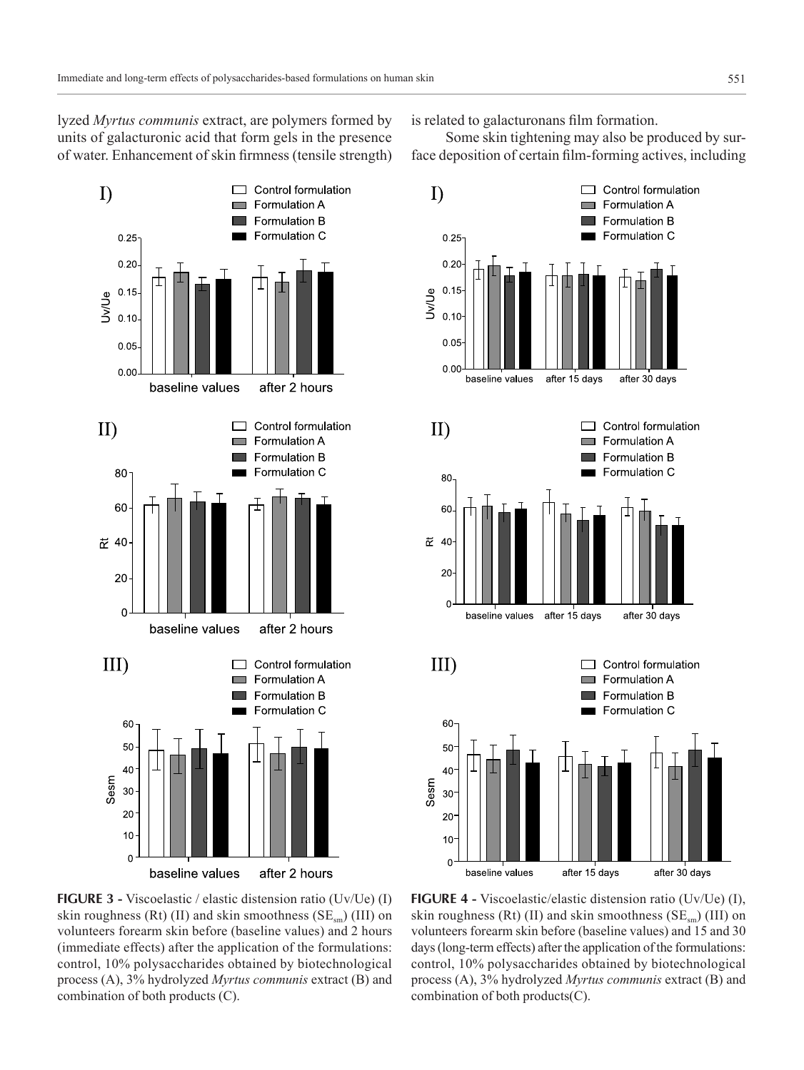lyzed *Myrtus communis* extract, are polymers formed by units of galacturonic acid that form gels in the presence of water. Enhancement of skin firmness (tensile strength)



**FIGURE 3 -** Viscoelastic / elastic distension ratio (Uv/Ue) (I) skin roughness (Rt) (II) and skin smoothness ( $SE<sub>cm</sub>$ ) (III) on volunteers forearm skin before (baseline values) and 2 hours (immediate effects) after the application of the formulations: control, 10% polysaccharides obtained by biotechnological process (A), 3% hydrolyzed *Myrtus communis* extract (B) and combination of both products (C).

is related to galacturonans film formation.

Some skin tightening may also be produced by surface deposition of certain film-forming actives, including



**FIGURE 4 -** Viscoelastic/elastic distension ratio (Uv/Ue) (I), skin roughness (Rt) (II) and skin smoothness ( $SE<sub>cm</sub>$ ) (III) on volunteers forearm skin before (baseline values) and 15 and 30 days (long-term effects) after the application of the formulations: control, 10% polysaccharides obtained by biotechnological process (A), 3% hydrolyzed *Myrtus communis* extract (B) and combination of both products(C).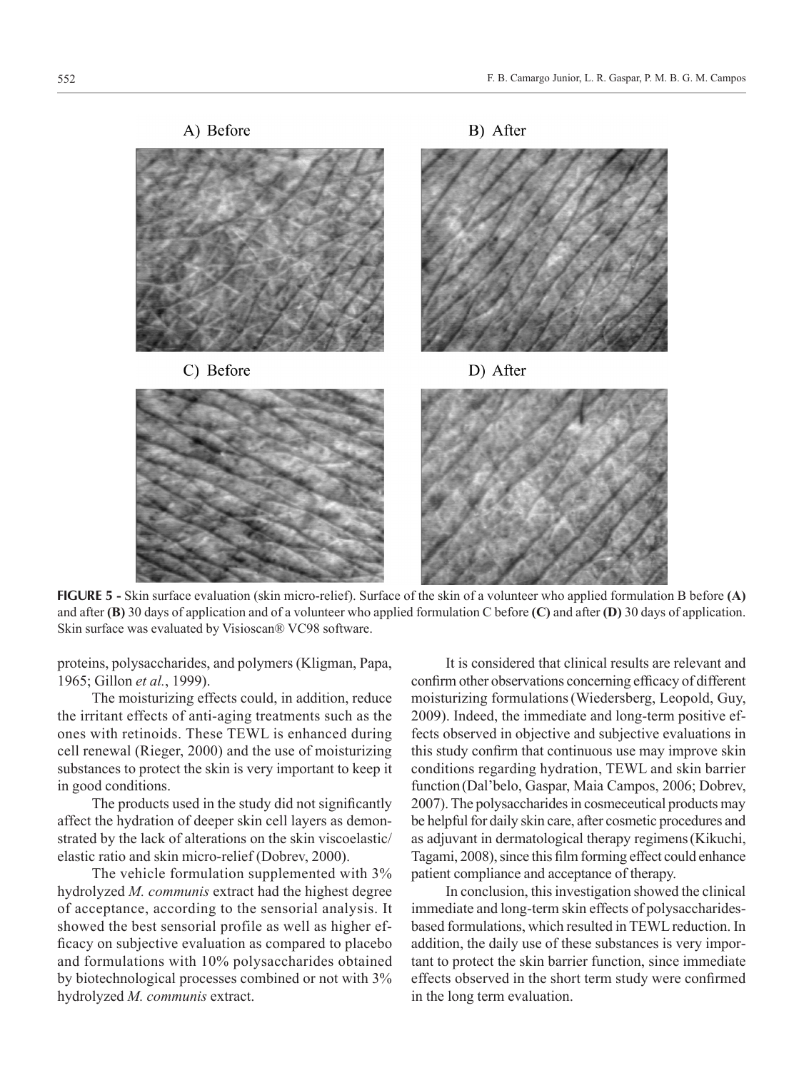

**FIGURE 5 -** Skin surface evaluation (skin micro-relief). Surface of the skin of a volunteer who applied formulation B before **(A)**  and after **(B)** 30 days of application and of a volunteer who applied formulation C before **(C)** and after **(D)** 30 days of application. Skin surface was evaluated by Visioscan® VC98 software.

proteins, polysaccharides, and polymers (Kligman, Papa, 1965; Gillon *et al.*, 1999).

The moisturizing effects could, in addition, reduce the irritant effects of anti-aging treatments such as the ones with retinoids. These TEWL is enhanced during cell renewal (Rieger, 2000) and the use of moisturizing substances to protect the skin is very important to keep it in good conditions.

The products used in the study did not significantly affect the hydration of deeper skin cell layers as demonstrated by the lack of alterations on the skin viscoelastic/ elastic ratio and skin micro-relief (Dobrev, 2000).

The vehicle formulation supplemented with 3% hydrolyzed *M. communis* extract had the highest degree of acceptance, according to the sensorial analysis. It showed the best sensorial profile as well as higher efficacy on subjective evaluation as compared to placebo and formulations with 10% polysaccharides obtained by biotechnological processes combined or not with 3% hydrolyzed *M. communis* extract.

It is considered that clinical results are relevant and confirm other observations concerning efficacy of different moisturizing formulations(Wiedersberg, Leopold, Guy, 2009). Indeed, the immediate and long-term positive effects observed in objective and subjective evaluations in this study confirm that continuous use may improve skin conditions regarding hydration, TEWL and skin barrier function (Dal'belo, Gaspar, Maia Campos, 2006; Dobrev, 2007). The polysaccharides in cosmeceutical products may be helpful for daily skin care, after cosmetic procedures and as adjuvant in dermatological therapy regimens(Kikuchi, Tagami, 2008), since this film forming effect could enhance patient compliance and acceptance of therapy.

In conclusion, this investigation showed the clinical immediate and long-term skin effects of polysaccharidesbased formulations, which resulted in TEWL reduction. In addition, the daily use of these substances is very important to protect the skin barrier function, since immediate effects observed in the short term study were confirmed in the long term evaluation.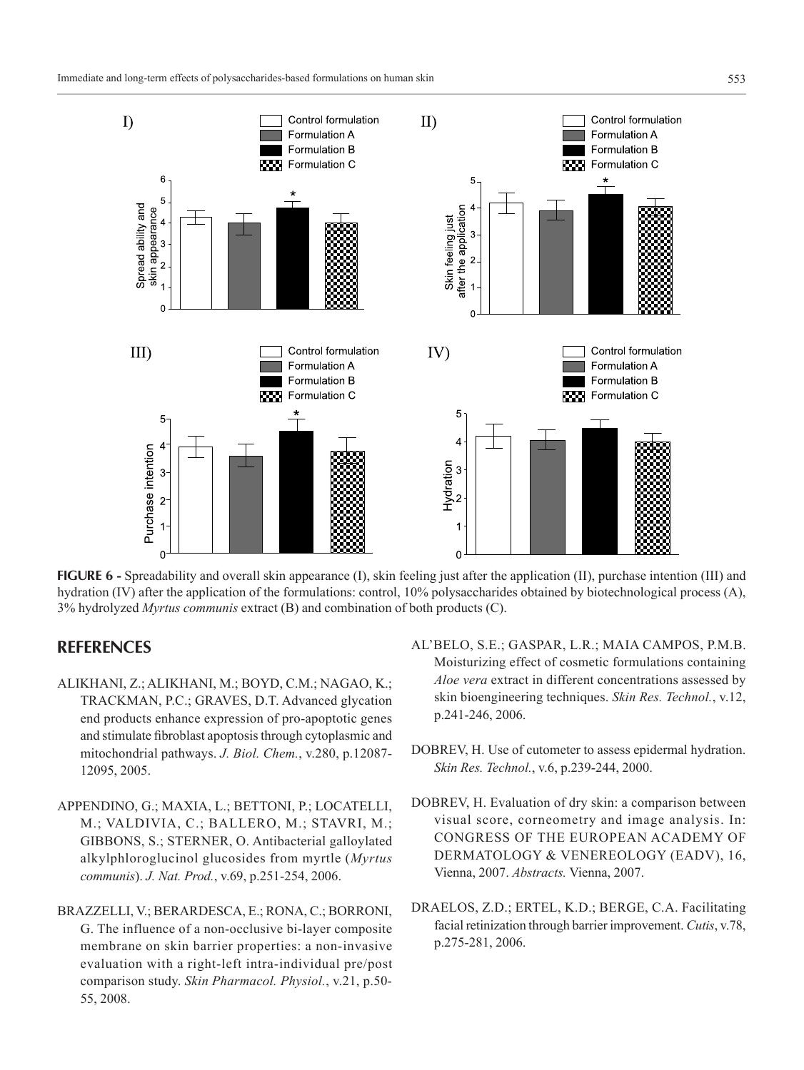

**FIGURE 6** - Spreadability and overall skin appearance (I), skin feeling just after the application (II), purchase intention (III) and hydration (IV) after the application of the formulations: control, 10% polysaccharides obtained by biotechnological process (A), 3% hydrolyzed *Myrtus communis* extract (B) and combination of both products (C).

# **REFERENCES**

- ALIKHANI, Z.; ALIKHANI, M.; BOYD, C.M.; NAGAO, K.; TRACKMAN, P.C.; GRAVES, D.T. Advanced glycation end products enhance expression of pro-apoptotic genes and stimulate fibroblast apoptosis through cytoplasmic and mitochondrial pathways. *J. Biol. Chem.*, v.280, p.12087- 12095, 2005.
- APPENDINO, G.; MAXIA, L.; BETTONI, P.; LOCATELLI, M.; VALDIVIA, C.; BALLERO, M.; STAVRI, M.; GIBBONS, S.; STERNER, O. Antibacterial galloylated alkylphloroglucinol glucosides from myrtle (*Myrtus communis*). *J. Nat. Prod.*, v.69, p.251-254, 2006.
- BRAZZELLI, V.; BERARDESCA, E.; RONA, C.; BORRONI, G. The influence of a non-occlusive bi-layer composite membrane on skin barrier properties: a non-invasive evaluation with a right-left intra-individual pre/post comparison study. *Skin Pharmacol. Physiol.*, v.21, p.50- 55, 2008.
- AL'BELO, S.E.; GASPAR, L.R.; MAIA CAMPOS, P.M.B. Moisturizing effect of cosmetic formulations containing *Aloe vera* extract in different concentrations assessed by skin bioengineering techniques. *Skin Res. Technol.*, v.12, p.241-246, 2006.
- DOBREV, H. Use of cutometer to assess epidermal hydration. *Skin Res. Technol.*, v.6, p.239-244, 2000.
- DOBREV, H. Evaluation of dry skin: a comparison between visual score, corneometry and image analysis. In: CONGRESS OF THE EUROPEAN ACADEMY OF DERMATOLOGY & VENEREOLOGY (EADV), 16, Vienna, 2007. *Abstracts.* Vienna, 2007.
- DRAELOS, Z.D.; ERTEL, K.D.; BERGE, C.A. Facilitating facial retinization through barrier improvement. *Cutis*, v.78, p.275-281, 2006.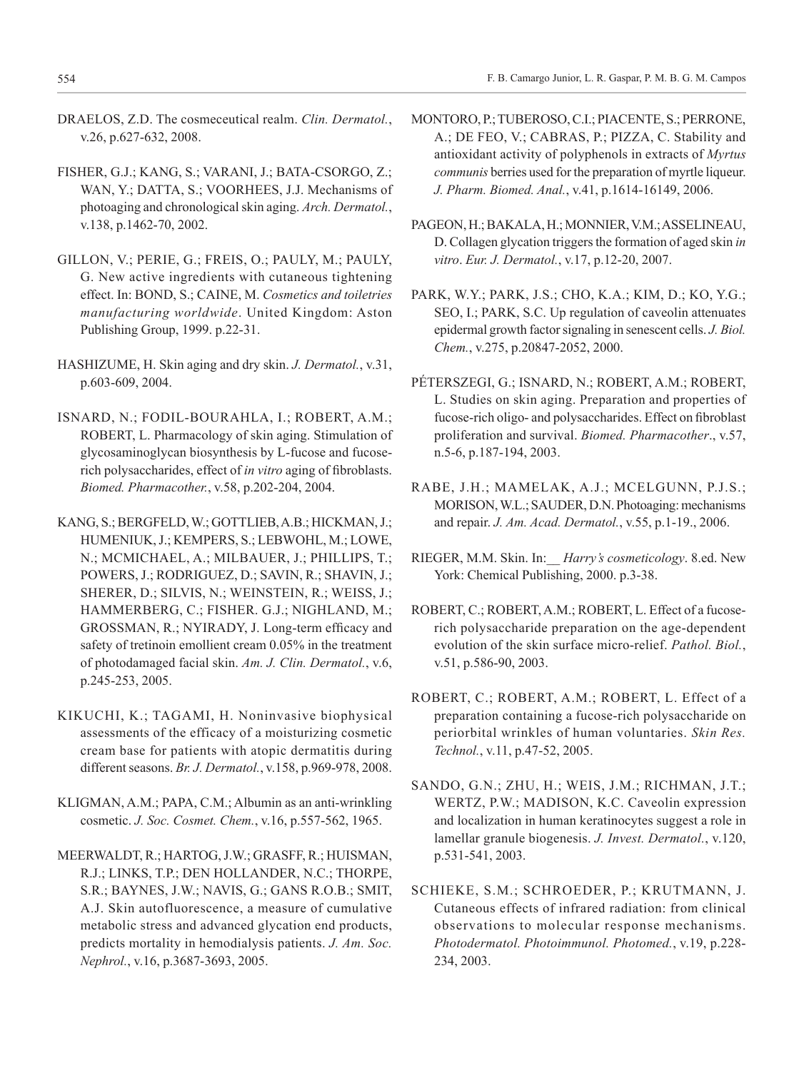- DRAELOS, Z.D. The cosmeceutical realm. *Clin. Dermatol.*, v.26, p.627-632, 2008.
- FISHER, G.J.; KANG, S.; VARANI, J.; BATA-CSORGO, Z.; WAN, Y.; DATTA, S.; VOORHEES, J.J. Mechanisms of photoaging and chronological skin aging. *Arch. Dermatol.*, v.138, p.1462-70, 2002.
- GILLON, V.; PERIE, G.; FREIS, O.; PAULY, M.; PAULY, G. New active ingredients with cutaneous tightening effect. In: BOND, S.; CAINE, M. *Cosmetics and toiletries manufacturing worldwide*. United Kingdom: Aston Publishing Group, 1999. p.22-31.
- HASHIZUME, H. Skin aging and dry skin. *J. Dermatol.*, v.31, p.603-609, 2004.
- ISNARD, N.; FODIL-BOURAHLA, I.; ROBERT, A.M.; ROBERT, L. Pharmacology of skin aging. Stimulation of glycosaminoglycan biosynthesis by L-fucose and fucoserich polysaccharides, effect of *in vitro* aging of fibroblasts. *Biomed. Pharmacother.*, v.58, p.202-204, 2004.
- KANG, S.; BERGFELD, W.; GOTTLIEB, A.B.; HICKMAN, J.; HUMENIUK, J.; KEMPERS, S.; LEBWOHL, M.; LOWE, N.; MCMICHAEL, A.; MILBAUER, J.; PHILLIPS, T.; POWERS, J.; RODRIGUEZ, D.; SAVIN, R.; SHAVIN, J.; SHERER, D.; SILVIS, N.; WEINSTEIN, R.; WEISS, J.; HAMMERBERG, C.; FISHER. G.J.; NIGHLAND, M.; GROSSMAN, R.; NYIRADY, J. Long-term efficacy and safety of tretinoin emollient cream 0.05% in the treatment of photodamaged facial skin. *Am. J. Clin. Dermatol.*, v.6, p.245-253, 2005.
- KIKUCHI, K.; TAGAMI, H. Noninvasive biophysical assessments of the efficacy of a moisturizing cosmetic cream base for patients with atopic dermatitis during different seasons. *Br. J. Dermatol.*, v.158, p.969-978, 2008.
- KLIGMAN, A.M.; PAPA, C.M.; Albumin as an anti-wrinkling cosmetic. *J. Soc. Cosmet. Chem.*, v.16, p.557-562, 1965.
- MEERWALDT, R.; HARTOG, J.W.; GRASFF, R.; HUISMAN, R.J.; LINKS, T.P.; DEN HOLLANDER, N.C.; THORPE, S.R.; BAYNES, J.W.; NAVIS, G.; GANS R.O.B.; SMIT, A.J. Skin autofluorescence, a measure of cumulative metabolic stress and advanced glycation end products, predicts mortality in hemodialysis patients. *J. Am. Soc. Nephrol.*, v.16, p.3687-3693, 2005.
- MONTORO, P.; TUBEROSO, C.I.; PIACENTE, S.; PERRONE, A.; DE FEO, V.; CABRAS, P.; PIZZA, C. Stability and antioxidant activity of polyphenols in extracts of *Myrtus communis* berries used for the preparation of myrtle liqueur. *J. Pharm. Biomed. Anal.*, v.41, p.1614-16149, 2006.
- PAGEON, H.; BAKALA, H.; MONNIER, V.M.; ASSELINEAU, D. Collagen glycation triggers the formation of aged skin *in vitro*. *Eur. J. Dermatol.*, v.17, p.12-20, 2007.
- PARK, W.Y.; PARK, J.S.; CHO, K.A.; KIM, D.; KO, Y.G.; SEO, I.; PARK, S.C. Up regulation of caveolin attenuates epidermal growth factor signaling in senescent cells. *J. Biol. Chem.*, v.275, p.20847-2052, 2000.
- PÉTERSZEGI, G.; ISNARD, N.; ROBERT, A.M.; ROBERT, L. Studies on skin aging. Preparation and properties of fucose-rich oligo- and polysaccharides. Effect on fibroblast proliferation and survival. *Biomed. Pharmacother*., v.57, n.5-6, p.187-194, 2003.
- RABE, J.H.; MAMELAK, A.J.; MCELGUNN, P.J.S.; MORISON, W.L.; SAUDER, D.N. Photoaging: mechanisms and repair. *J. Am. Acad. Dermatol.*, v.55, p.1-19., 2006.
- RIEGER, M.M. Skin. In:\_\_ *Harry's cosmeticology*. 8.ed. New York: Chemical Publishing, 2000. p.3-38.
- ROBERT, C.; ROBERT, A.M.; ROBERT, L. Effect of a fucoserich polysaccharide preparation on the age-dependent evolution of the skin surface micro-relief. *Pathol. Biol.*, v.51, p.586-90, 2003.
- ROBERT, C.; ROBERT, A.M.; ROBERT, L. Effect of a preparation containing a fucose-rich polysaccharide on periorbital wrinkles of human voluntaries. *Skin Res. Technol.*, v.11, p.47-52, 2005.
- SANDO, G.N.; ZHU, H.; WEIS, J.M.; RICHMAN, J.T.; WERTZ, P.W.; MADISON, K.C. Caveolin expression and localization in human keratinocytes suggest a role in lamellar granule biogenesis. *J. Invest. Dermatol.*, v.120, p.531-541, 2003.
- SCHIEKE, S.M.; SCHROEDER, P.; KRUTMANN, J. Cutaneous effects of infrared radiation: from clinical observations to molecular response mechanisms. *Photodermatol. Photoimmunol. Photomed.*, v.19, p.228- 234, 2003.